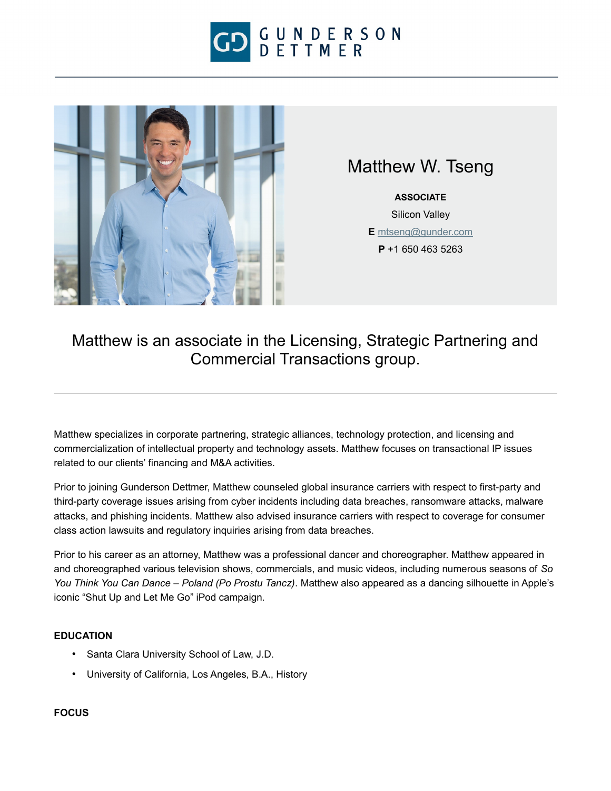



# Matthew W. Tseng

**ASSOCIATE** Silicon Valley **E** [mtseng@gunder.com](mailto:mtseng@gunder.com) **P** +1 650 463 5263

## Matthew is an associate in the Licensing, Strategic Partnering and Commercial Transactions group.

Matthew specializes in corporate partnering, strategic alliances, technology protection, and licensing and commercialization of intellectual property and technology assets. Matthew focuses on transactional IP issues related to our clients' financing and M&A activities.

Prior to joining Gunderson Dettmer, Matthew counseled global insurance carriers with respect to first-party and third-party coverage issues arising from cyber incidents including data breaches, ransomware attacks, malware attacks, and phishing incidents. Matthew also advised insurance carriers with respect to coverage for consumer class action lawsuits and regulatory inquiries arising from data breaches.

Prior to his career as an attorney, Matthew was a professional dancer and choreographer. Matthew appeared in and choreographed various television shows, commercials, and music videos, including numerous seasons of *So You Think You Can Dance – Poland (Po Prostu Tancz)*. Matthew also appeared as a dancing silhouette in Apple's iconic "Shut Up and Let Me Go" iPod campaign.

### **EDUCATION**

- Santa Clara University School of Law, J.D.
- University of California, Los Angeles, B.A., History

#### **FOCUS**